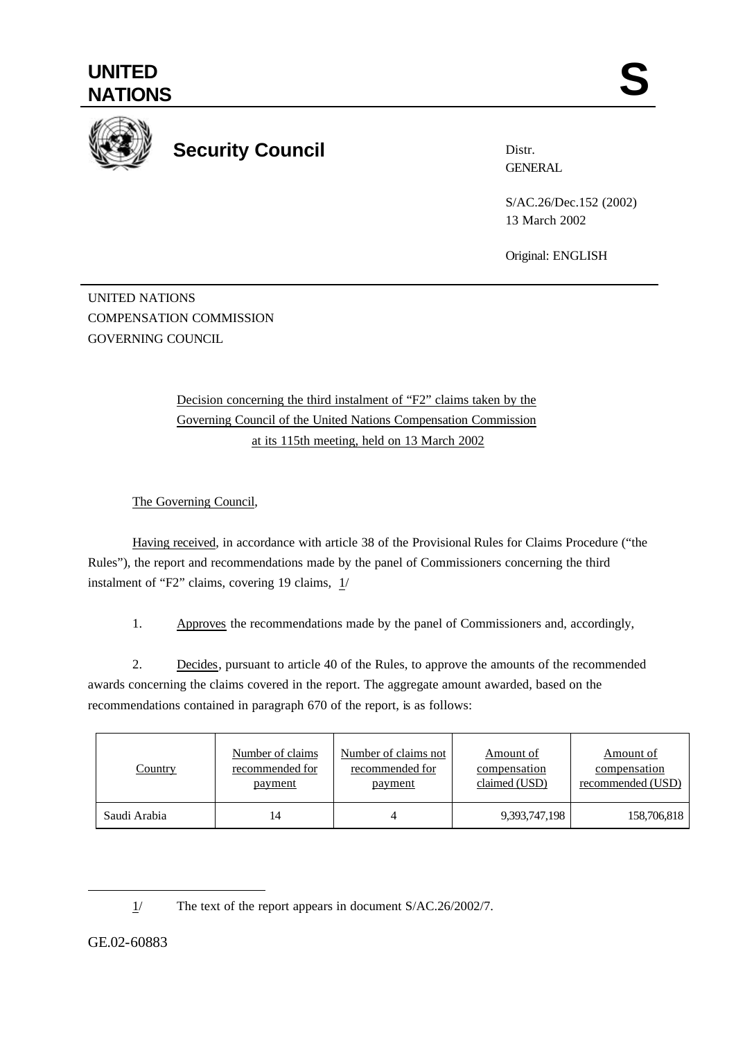

## **Security Council**

Distr. **GENERAL** 

S/AC.26/Dec.152 (2002) 13 March 2002

Original: ENGLISH

UNITED NATIONS COMPENSATION COMMISSION GOVERNING COUNCIL

> Decision concerning the third instalment of "F2" claims taken by the Governing Council of the United Nations Compensation Commission at its 115th meeting, held on 13 March 2002

The Governing Council,

Having received, in accordance with article 38 of the Provisional Rules for Claims Procedure ("the Rules"), the report and recommendations made by the panel of Commissioners concerning the third instalment of "F2" claims, covering 19 claims,  $1/$ 

1. Approves the recommendations made by the panel of Commissioners and, accordingly,

2. Decides, pursuant to article 40 of the Rules, to approve the amounts of the recommended awards concerning the claims covered in the report. The aggregate amount awarded, based on the recommendations contained in paragraph 670 of the report, is as follows:

| <b>Country</b> | Number of claims | Number of claims not | Amount of     | Amount of         |
|----------------|------------------|----------------------|---------------|-------------------|
|                | recommended for  | recommended for      | compensation  | compensation      |
|                | payment          | <u>payment</u>       | claimed (USD) | recommended (USD) |
| Saudi Arabia   | 14               |                      | 9,393,747,198 | 158,706,818       |

l

<sup>1/</sup> The text of the report appears in document S/AC.26/2002/7.